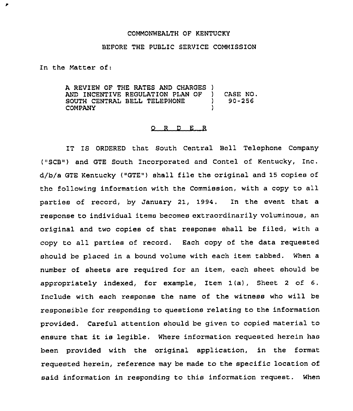#### COMMONWEALTH OF KENTUCKY

## BEFORE THE PUBLIC SERVICE COMMISSION

In the Matter of.

 $\pmb{r}$ 

A REVIEW OF THE RATES AND CHARGES )<br>AND INCENTIVE REGULATION PLAN OF ) AND INCENTIVE REGULATION PLAN OF SOUTH CENTRAL BELL TELEPHONE **COMPANY** CASE NO. 90-256

#### 0 <sup>R</sup> <sup>D</sup> E <sup>R</sup>

IT IS ORDERED that South Central Ball Telephone Company ("SCB") and GTE South Incorporated and Contel of Kentucky, Inc. d/b/a GTE Kentucky ("GTE") shall file the original and 15 copies of thc following information with the Commission, with a copy to all parties of record, by January 21, 1994. In the event that a response to individual items becomes extraordinarily voluminous, an original and two copies of that response shall be filed, with a copy to all parties of record. Each copy of the data requested should be placed in a bound volume with each item tabbed. When a number of sheets are required for an item, each sheet should be appropriately indexed, for example, Item 1(a), Sheet <sup>2</sup> of 6, Include with each response the name of the witness who will be responsible for responding to questions relating to the information provided. Careful attention should be given to copied material to ensure that it is legible, where information requested herein has been provided with the original application, in the format requested herein, reference may be made to the specific location of said information in responding to this information request. When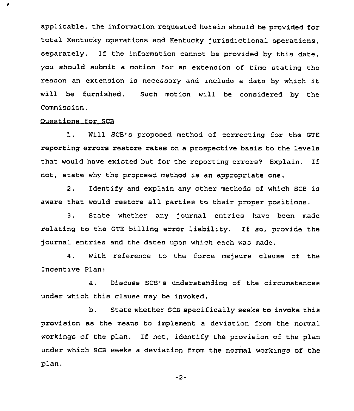applicable, the information requested herein should be provided for total Kentucky operations and Kentucky jurisdictional operations, separately. If the information cannot be provided by this date, you should submit a motion for an extension of time stating the reason an extension is necessary and include <sup>a</sup> date by which it will be furnished. Such motion will be considered by the Commission,

### Questions for SCB

٠

1. Will SCB's proposed method of correcting for the GTE reporting errors restore rates on a prospective basis to the levels that would have existed but for the reporting errors7 Explain. If not, state why the proposed method is an appropriate one,

2. Identify and explain any other methods of which SCB is aware that would restore all parties to their proper positions.

3. State whether any journal entries have been made relating to the GTE billing error liability. If so, provide the journal entries and the dates upon which each was made.

4. With reference to the force majeure clause of the Incentive Plan:

a. Discuss SCB's understanding of the circumstances under which this clause may be invoked.

b. State whether SCB specifically seeks to invoke this provision as the means to implement a deviation from the normal workings of the plan. If not, identify the provision of the plan under which SCB seeks a deviation from the normal workings of the plan.

 $-2-$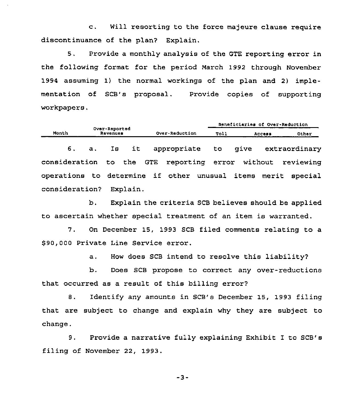c. will resorting to the force majeure clause require discontinuance of the plan? Explain.

5. Provide a monthly analysis of the GTE reporting error in the following format for the period March 1992 through November 1994 assuming 1) the normal workings of the plan and 2) implementation of SCB's proposal. Provide copies of supporting workpapers.

|                                                              |                           |    |          |                |             |  |             |        |  | Beneficiaries of Over-Reduction |  |
|--------------------------------------------------------------|---------------------------|----|----------|----------------|-------------|--|-------------|--------|--|---------------------------------|--|
| Month                                                        | Over-Reported<br>Revenues |    |          | Over-Reduction |             |  | <b>Toll</b> | Access |  | Other                           |  |
| 6.                                                           | $\mathbf{a}$ .            | Is | it       |                | appropriate |  | to          | give   |  | extraordinary                   |  |
| consideration to the GTE reporting error without             |                           |    |          |                |             |  |             |        |  | reviewing                       |  |
| operations to determine if other unusual items merit special |                           |    |          |                |             |  |             |        |  |                                 |  |
| consideration?                                               |                           |    | Explain. |                |             |  |             |        |  |                                 |  |

b. Explain the criteria SCB believes should be applied to ascertain whether special treatment of an item is warranted.

7. On December 15, 1993 SCB filed comments relating to a \$ 90,000 Private Line Service error.

a. How does SCB intend to resolve this liability?

b. Does SCB propose to correct any over-reductions that occurred as a result of this billing error?

8. Identify any amounts in SCB's December 15, 1993 filing that are subject to change and explain why they are subject to change.

9. Provide a narrative fully explaining Exhibit I to SCB's filing of November 22, 1993.

 $-3-$